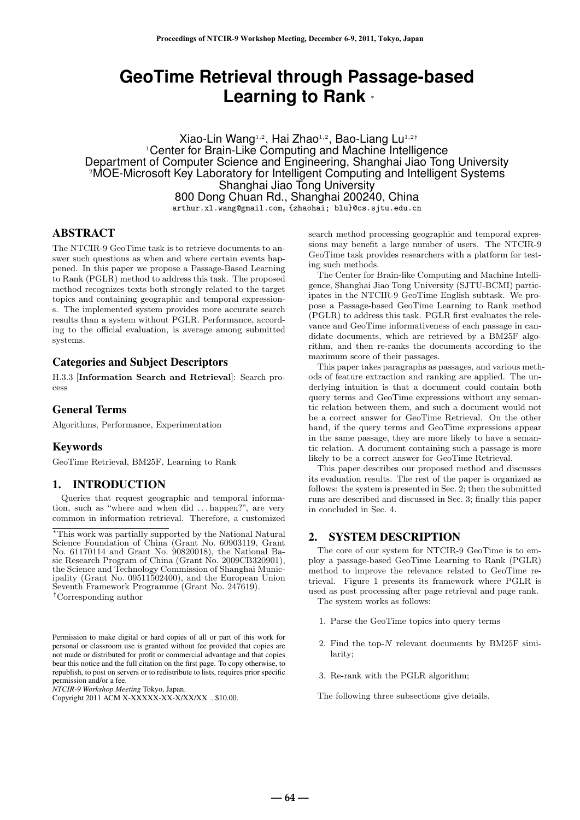# **GeoTime Retrieval through Passage-based Learning to Rank** *<sup>∗</sup>*

Xiao-Lin Wang1*,*<sup>2</sup> , Hai Zhao1*,*<sup>2</sup> , Bao-Liang Lu1*,*2*†* <sup>1</sup>Center for Brain-Like Computing and Machine Intelligence Department of Computer Science and Engineering, Shanghai Jiao Tong University <sup>2</sup>MOE-Microsoft Key Laboratory for Intelligent Computing and Intelligent Systems Shanghai Jiao Tong University 800 Dong Chuan Rd., Shanghai 200240, China arthur.xl.wang@gmail.com, {zhaohai; blu}@cs.sjtu.edu.cn

## ABSTRACT

The NTCIR-9 GeoTime task is to retrieve documents to answer such questions as when and where certain events happened. In this paper we propose a Passage-Based Learning to Rank (PGLR) method to address this task. The proposed method recognizes texts both strongly related to the target topics and containing geographic and temporal expressions. The implemented system provides more accurate search results than a system without PGLR. Performance, according to the official evaluation, is average among submitted systems.

### Categories and Subject Descriptors

H.3.3 [**Information Search and Retrieval**]: Search process

#### General Terms

Algorithms, Performance, Experimentation

#### Keywords

GeoTime Retrieval, BM25F, Learning to Rank

# 1. INTRODUCTION

Queries that request geographic and temporal information, such as "where and when did . . . happen?", are very common in information retrieval. Therefore, a customized

*NTCIR-9 Workshop Meeting* Tokyo, Japan.

search method processing geographic and temporal expressions may benefit a large number of users. The NTCIR-9 GeoTime task provides researchers with a platform for testing such methods.

The Center for Brain-like Computing and Machine Intelligence, Shanghai Jiao Tong University (SJTU-BCMI) participates in the NTCIR-9 GeoTime English subtask. We propose a Passage-based GeoTime Learning to Rank method (PGLR) to address this task. PGLR first evaluates the relevance and GeoTime informativeness of each passage in candidate documents, which are retrieved by a BM25F algorithm, and then re-ranks the documents according to the maximum score of their passages.

This paper takes paragraphs as passages, and various methods of feature extraction and ranking are applied. The underlying intuition is that a document could contain both query terms and GeoTime expressions without any semantic relation between them, and such a document would not be a correct answer for GeoTime Retrieval. On the other hand, if the query terms and GeoTime expressions appear in the same passage, they are more likely to have a semantic relation. A document containing such a passage is more likely to be a correct answer for GeoTime Retrieval.

This paper describes our proposed method and discusses its evaluation results. The rest of the paper is organized as follows: the system is presented in Sec. 2; then the submitted runs are described and discussed in Sec. 3; finally this paper in concluded in Sec. 4.

# 2. SYSTEM DESCRIPTION

The core of our system for NTCIR-9 GeoTime is to employ a passage-based GeoTime Learning to Rank (PGLR) method to improve the relevance related to GeoTime retrieval. Figure 1 presents its framework where PGLR is used as post processing after page retrieval and page rank. The system works as follows:

- 1. Parse the GeoTime topics into query terms
- 2. Find the top-*N* relevant documents by BM25F similarity;
- 3. Re-rank with the PGLR algorithm;
- The following three subsections give details.

**― 64 ―**

*<sup>∗</sup>*This work was partially supported by the National Natural Science Foundation of China (Grant No. 60903119, Grant No. 61170114 and Grant No. 90820018), the National Basic Research Program of China (Grant No. 2009CB320901), the Science and Technology Commission of Shanghai Municipality (Grant No. 09511502400), and the European Union Seventh Framework Programme (Grant No. 247619).

*<sup>†</sup>*Corresponding author

Permission to make digital or hard copies of all or part of this work for personal or classroom use is granted without fee provided that copies are not made or distributed for profit or commercial advantage and that copies bear this notice and the full citation on the first page. To copy otherwise, to republish, to post on servers or to redistribute to lists, requires prior specific permission and/or a fee.

Copyright 2011 ACM X-XXXXX-XX-X/XX/XX ...\$10.00.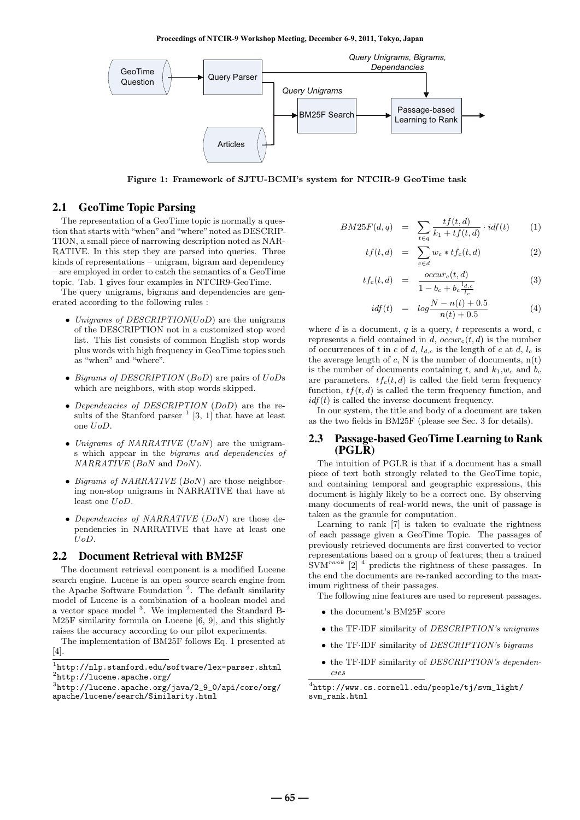**Proceedings of NTCIR-9 Workshop Meeting, December 6-9, 2011, Tokyo, Japan**



**Figure 1: Framework of SJTU-BCMI's system for NTCIR-9 GeoTime task**

# 2.1 GeoTime Topic Parsing

The representation of a GeoTime topic is normally a question that starts with "when" and "where" noted as DESCRIP-TION, a small piece of narrowing description noted as NAR-RATIVE. In this step they are parsed into queries. Three kinds of representations – unigram, bigram and dependency – are employed in order to catch the semantics of a GeoTime topic. Tab. 1 gives four examples in NTCIR9-GeoTime.

The query unigrams, bigrams and dependencies are generated according to the following rules :

- *• Unigrams of DESCRIPTION*(*UoD*) are the unigrams of the DESCRIPTION not in a customized stop word list. This list consists of common English stop words plus words with high frequency in GeoTime topics such as "when" and "where".
- *• Bigrams of DESCRIPTION* (*BoD*) are pairs of *UoD*s which are neighbors, with stop words skipped.
- *• Dependencies of DESCRIPTION* (*DoD*) are the results of the Stanford parser  $<sup>1</sup>$  [3, 1] that have at least</sup> one *UoD*.
- *• Unigrams of NARRATIVE* (*UoN*) are the unigrams which appear in the *bigrams and dependencies of NARRATIVE* (*BoN* and *DoN*).
- *• Bigrams of NARRATIVE* (*BoN*) are those neighboring non-stop unigrams in NARRATIVE that have at least one *UoD*.
- *• Dependencies of NARRATIVE* (*DoN*) are those dependencies in NARRATIVE that have at least one *UoD*.

#### 2.2 Document Retrieval with BM25F

The document retrieval component is a modified Lucene search engine. Lucene is an open source search engine from the Apache Software Foundation<sup>2</sup>. The default similarity model of Lucene is a combination of a boolean model and a vector space model <sup>3</sup> . We implemented the Standard B-M25F similarity formula on Lucene [6, 9], and this slightly raises the accuracy according to our pilot experiments.

The implementation of BM25F follows Eq. 1 presented at [4].

$$
BM25F(d,q) = \sum_{t \in q} \frac{tf(t,d)}{k_1 + tf(t,d)} \cdot idf(t) \qquad (1)
$$

$$
tf(t,d) = \sum_{c \in d} w_c * tf_c(t,d)
$$
 (2)

$$
tf_c(t,d) = \frac{occur_c(t,d)}{1 - b_c + b_c \frac{l_{d,c}}{l_c}} \tag{3}
$$

$$
idf(t) = log \frac{N - n(t) + 0.5}{n(t) + 0.5}
$$
 (4)

where *d* is a document, *q* is a query, *t* represents a word, *c* represents a field contained in *d*,  $occur<sub>c</sub>(t, d)$  is the number of occurrences of *t* in *c* of *d*,  $l_{d,c}$  is the length of *c* at *d*,  $l_c$  is the average length of  $c$ , N is the number of documents,  $n(t)$ is the number of documents containing  $t$ , and  $k_1, w_c$  and  $b_c$ are parameters.  $tf_c(t, d)$  is called the field term frequency function,  $tf(t, d)$  is called the term frequency function, and  $\int$ *idf*(*t*) is called the inverse document frequency.

In our system, the title and body of a document are taken as the two fields in BM25F (please see Sec. 3 for details).

#### 2.3 Passage-based GeoTime Learning to Rank (PGLR)

The intuition of PGLR is that if a document has a small piece of text both strongly related to the GeoTime topic, and containing temporal and geographic expressions, this document is highly likely to be a correct one. By observing many documents of real-world news, the unit of passage is taken as the granule for computation.

Learning to rank [7] is taken to evaluate the rightness of each passage given a GeoTime Topic. The passages of previously retrieved documents are first converted to vector representations based on a group of features; then a trained SVM*rank* [2] <sup>4</sup> predicts the rightness of these passages. In the end the documents are re-ranked according to the maximum rightness of their passages.

The following nine features are used to represent passages.

- *•* the document's BM25F score
- *•* the TF*·*IDF similarity of *DESCRIPTION's unigrams*
- *•* the TF*·*IDF similarity of *DESCRIPTION's bigrams*
- *•* the TF*·*IDF similarity of *DESCRIPTION's dependencies*

 $^{1}$ http://nlp.stanford.edu/software/lex-parser.shtml 2 http://lucene.apache.org/

 $3$ http://lucene.apache.org/java/2\_9\_0/api/core/org/ apache/lucene/search/Similarity.html

<sup>4</sup> http://www.cs.cornell.edu/people/tj/svm\_light/ svm\_rank.html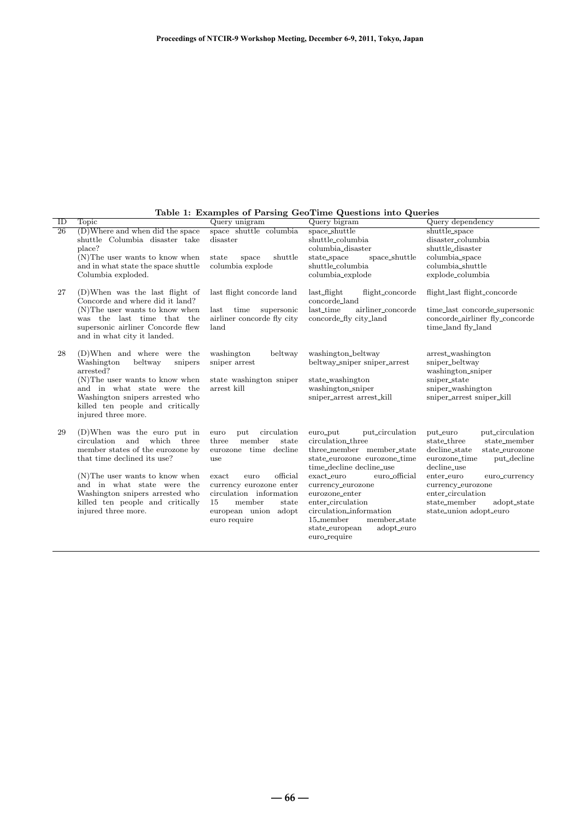| ID              | Topic                                                                                                                                                                                                                                                                                                | Query unigram                                                                                                                                                                                                                              | Query bigram                                                                                                                                                                                                                                                                                                                                    | Query dependency                                                                                                                                                                                                                                                               |  |
|-----------------|------------------------------------------------------------------------------------------------------------------------------------------------------------------------------------------------------------------------------------------------------------------------------------------------------|--------------------------------------------------------------------------------------------------------------------------------------------------------------------------------------------------------------------------------------------|-------------------------------------------------------------------------------------------------------------------------------------------------------------------------------------------------------------------------------------------------------------------------------------------------------------------------------------------------|--------------------------------------------------------------------------------------------------------------------------------------------------------------------------------------------------------------------------------------------------------------------------------|--|
| $\overline{26}$ | (D)Where and when did the space<br>shuttle Columbia disaster take<br>place?                                                                                                                                                                                                                          | space shuttle columbia<br>disaster                                                                                                                                                                                                         | space_shuttle<br>shuttle_columbia<br>columbia_disaster                                                                                                                                                                                                                                                                                          | shuttle_space<br>disaster_columbia<br>shuttle_disaster                                                                                                                                                                                                                         |  |
|                 | $(N)$ The user wants to know when<br>and in what state the space shuttle<br>Columbia exploded.                                                                                                                                                                                                       | shuttle<br>state<br>space<br>columbia explode                                                                                                                                                                                              | space_shuttle<br>state_space<br>shuttle_columbia<br>columbia_explode                                                                                                                                                                                                                                                                            | columbia_space<br>columbia_shuttle<br>explode_columbia                                                                                                                                                                                                                         |  |
| 27              | $(D)$ When was the last flight of<br>Concorde and where did it land?<br>$(N)$ The user wants to know when<br>was the last time that the<br>supersonic airliner Concorde flew<br>and in what city it landed.                                                                                          | last flight concorde land<br>supersonic<br>last<br>time<br>airliner concorde fly city<br>land                                                                                                                                              | $last_{\text{light}}$<br>flight_concorde<br>concorde_land<br>last_time<br>airliner_concorde<br>concorde_fly city_land                                                                                                                                                                                                                           | flight_last flight_concorde<br>time_last concorde_supersonic<br>concorde_airliner fly_concorde<br>time_land fly_land                                                                                                                                                           |  |
| 28              | (D)When and where were the<br>Washington<br>beltway<br>snipers<br>arrested?<br>(N) The user wants to know when<br>and in what state were the<br>Washington snipers arrested who<br>killed ten people and critically<br>injured three more.                                                           | washington<br>beltway<br>sniper arrest<br>state washington sniper<br>arrest kill                                                                                                                                                           | washington_beltway<br>beltway_sniper_sniper_arrest<br>state_washington<br>washington_sniper<br>sniper_arrest_arrest_kill                                                                                                                                                                                                                        | arrest_washington<br>sniper_beltway<br>washington_sniper<br>sniper_state<br>sniper_washington<br>sniper_arrest sniper_kill                                                                                                                                                     |  |
| 29              | $(D)$ When was the euro put in<br>and which three<br>circulation<br>member states of the eurozone by<br>that time declined its use?<br>$(N)$ The user wants to know when<br>and in what state were the<br>Washington snipers arrested who<br>killed ten people and critically<br>injured three more. | circulation<br>euro<br>put<br>member<br>state<br>three<br>eurozone time decline<br>use<br>official<br>exact<br>euro<br>currency eurozone enter<br>circulation information<br>member<br>15<br>state<br>european union adopt<br>euro require | put_circulation<br>euro_put<br>circulation_three<br>three_member_member_state<br>state_eurozone_eurozone_time<br>time_decline decline_use<br>euro_official<br>exact_euro<br>currency_eurozone<br>eurozone_enter<br>enter_circulation<br>circulation_information<br>$15$ _member<br>member_state<br>state_european<br>adopt_euro<br>euro_require | put_euro<br>put_circulation<br>state_member<br>state_three<br>decline_state<br>state_eurozone<br>put_decline<br>eurozone_time<br>decline_use<br>enter_euro<br>euro_currency<br>currency_eurozone<br>enter_circulation<br>state_member<br>adopt_state<br>state_union adopt_euro |  |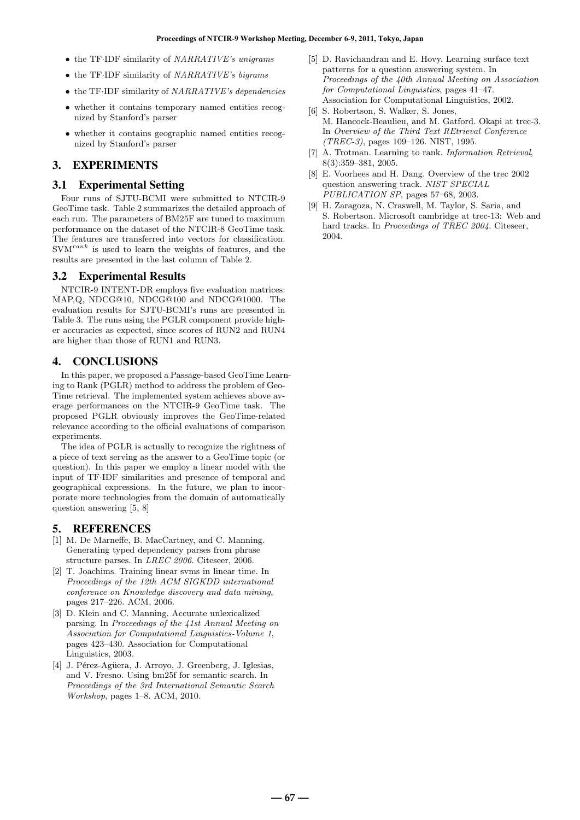- *•* the TF*·*IDF similarity of *NARRATIVE's unigrams*
- *•* the TF*·*IDF similarity of *NARRATIVE's bigrams*
- *•* the TF*·*IDF similarity of *NARRATIVE's dependencies*
- whether it contains temporary named entities recognized by Stanford's parser
- whether it contains geographic named entities recognized by Stanford's parser

# 3. EXPERIMENTS

## 3.1 Experimental Setting

Four runs of SJTU-BCMI were submitted to NTCIR-9 GeoTime task. Table 2 summarizes the detailed approach of each run. The parameters of BM25F are tuned to maximum performance on the dataset of the NTCIR-8 GeoTime task. The features are transferred into vectors for classification. SVM*rank* is used to learn the weights of features, and the results are presented in the last column of Table 2.

## 3.2 Experimental Results

NTCIR-9 INTENT-DR employs five evaluation matrices: MAP,Q, NDCG@10, NDCG@100 and NDCG@1000. The evaluation results for SJTU-BCMI's runs are presented in Table 3. The runs using the PGLR component provide higher accuracies as expected, since scores of RUN2 and RUN4 are higher than those of RUN1 and RUN3.

## 4. CONCLUSIONS

In this paper, we proposed a Passage-based GeoTime Learning to Rank (PGLR) method to address the problem of Geo-Time retrieval. The implemented system achieves above average performances on the NTCIR-9 GeoTime task. The proposed PGLR obviously improves the GeoTime-related relevance according to the official evaluations of comparison experiments.

The idea of PGLR is actually to recognize the rightness of a piece of text serving as the answer to a GeoTime topic (or question). In this paper we employ a linear model with the input of TF*·*IDF similarities and presence of temporal and geographical expressions. In the future, we plan to incorporate more technologies from the domain of automatically question answering [5, 8]

## 5. REFERENCES

- [1] M. De Marneffe, B. MacCartney, and C. Manning. Generating typed dependency parses from phrase structure parses. In *LREC 2006*. Citeseer, 2006.
- [2] T. Joachims. Training linear svms in linear time. In *Proceedings of the 12th ACM SIGKDD international conference on Knowledge discovery and data mining*, pages 217–226. ACM, 2006.
- [3] D. Klein and C. Manning. Accurate unlexicalized parsing. In *Proceedings of the 41st Annual Meeting on Association for Computational Linguistics-Volume 1*, pages 423–430. Association for Computational Linguistics, 2003.
- [4] J. Pérez-Agüera, J. Arroyo, J. Greenberg, J. Iglesias, and V. Fresno. Using bm25f for semantic search. In *Proceedings of the 3rd International Semantic Search Workshop*, pages 1–8. ACM, 2010.
- [5] D. Ravichandran and E. Hovy. Learning surface text patterns for a question answering system. In *Proceedings of the 40th Annual Meeting on Association for Computational Linguistics*, pages 41–47. Association for Computational Linguistics, 2002.
- [6] S. Robertson, S. Walker, S. Jones, M. Hancock-Beaulieu, and M. Gatford. Okapi at trec-3. In *Overview of the Third Text REtrieval Conference (TREC-3)*, pages 109–126. NIST, 1995.
- [7] A. Trotman. Learning to rank. *Information Retrieval*, 8(3):359–381, 2005.
- [8] E. Voorhees and H. Dang. Overview of the trec 2002 question answering track. *NIST SPECIAL PUBLICATION SP*, pages 57–68, 2003.
- [9] H. Zaragoza, N. Craswell, M. Taylor, S. Saria, and S. Robertson. Microsoft cambridge at trec-13: Web and hard tracks. In *Proceedings of TREC 2004*. Citeseer, 2004.